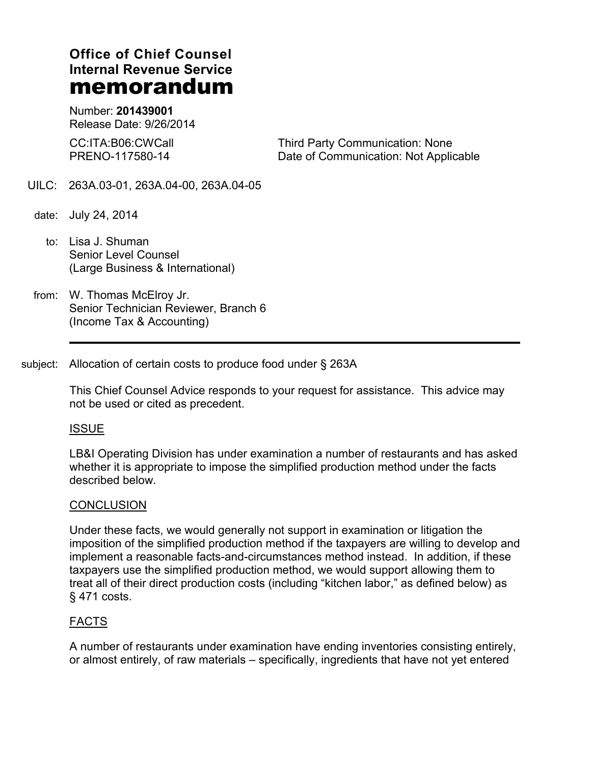# **Office of Chief Counsel Internal Revenue Service memorandum**

Number: **201439001** Release Date: 9/26/2014

CC:ITA:B06:CWCall PRENO-117580-14

Third Party Communication: None Date of Communication: Not Applicable

- UILC: 263A.03-01, 263A.04-00, 263A.04-05
- date: July 24, 2014
	- to: Lisa J. Shuman Senior Level Counsel (Large Business & International)
- from: W. Thomas McElroy Jr. Senior Technician Reviewer, Branch 6 (Income Tax & Accounting)

subject: Allocation of certain costs to produce food under § 263A

This Chief Counsel Advice responds to your request for assistance. This advice may not be used or cited as precedent.

### ISSUE

LB&I Operating Division has under examination a number of restaurants and has asked whether it is appropriate to impose the simplified production method under the facts described below.

### **CONCLUSION**

Under these facts, we would generally not support in examination or litigation the imposition of the simplified production method if the taxpayers are willing to develop and implement a reasonable facts-and-circumstances method instead. In addition, if these taxpayers use the simplified production method, we would support allowing them to treat all of their direct production costs (including "kitchen labor," as defined below) as § 471 costs.

## FACTS

A number of restaurants under examination have ending inventories consisting entirely, or almost entirely, of raw materials – specifically, ingredients that have not yet entered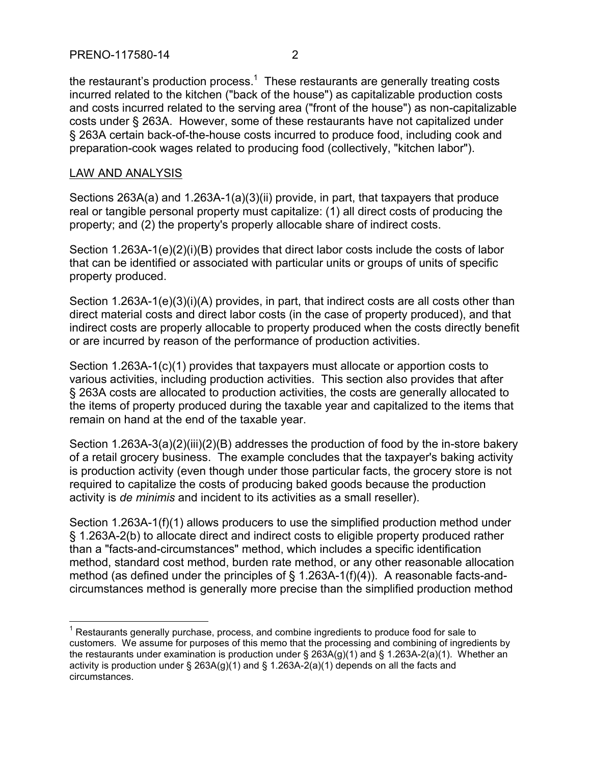the restaurant's production process.<sup>1</sup> These restaurants are generally treating costs incurred related to the kitchen ("back of the house") as capitalizable production costs and costs incurred related to the serving area ("front of the house") as non-capitalizable costs under § 263A. However, some of these restaurants have not capitalized under § 263A certain back-of-the-house costs incurred to produce food, including cook and preparation-cook wages related to producing food (collectively, "kitchen labor").

## LAW AND ANALYSIS

 $\overline{a}$ 

Sections 263A(a) and 1.263A-1(a)(3)(ii) provide, in part, that taxpayers that produce real or tangible personal property must capitalize: (1) all direct costs of producing the property; and (2) the property's properly allocable share of indirect costs.

Section 1.263A-1(e)(2)(i)(B) provides that direct labor costs include the costs of labor that can be identified or associated with particular units or groups of units of specific property produced.

Section 1.263A-1(e)(3)(i)(A) provides, in part, that indirect costs are all costs other than direct material costs and direct labor costs (in the case of property produced), and that indirect costs are properly allocable to property produced when the costs directly benefit or are incurred by reason of the performance of production activities.

Section 1.263A-1(c)(1) provides that taxpayers must allocate or apportion costs to various activities, including production activities. This section also provides that after § 263A costs are allocated to production activities, the costs are generally allocated to the items of property produced during the taxable year and capitalized to the items that remain on hand at the end of the taxable year.

Section 1.263A-3(a)(2)(iii)(2)(B) addresses the production of food by the in-store bakery of a retail grocery business. The example concludes that the taxpayer's baking activity is production activity (even though under those particular facts, the grocery store is not required to capitalize the costs of producing baked goods because the production activity is *de minimis* and incident to its activities as a small reseller).

Section 1.263A-1(f)(1) allows producers to use the simplified production method under § 1.263A-2(b) to allocate direct and indirect costs to eligible property produced rather than a "facts-and-circumstances" method, which includes a specific identification method, standard cost method, burden rate method, or any other reasonable allocation method (as defined under the principles of  $\S$  1.263A-1(f)(4)). A reasonable facts-andcircumstances method is generally more precise than the simplified production method

 $<sup>1</sup>$  Restaurants generally purchase, process, and combine ingredients to produce food for sale to</sup> customers. We assume for purposes of this memo that the processing and combining of ingredients by the restaurants under examination is production under §  $263A(g)(1)$  and § 1.263A-2(a)(1). Whether an activity is production under  $\S$  263A(g)(1) and  $\S$  1.263A-2(a)(1) depends on all the facts and circumstances.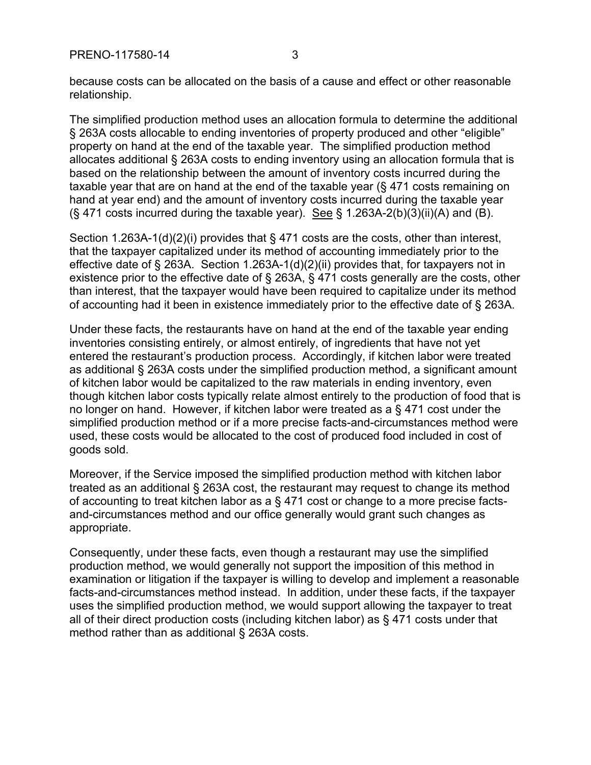because costs can be allocated on the basis of a cause and effect or other reasonable relationship.

The simplified production method uses an allocation formula to determine the additional § 263A costs allocable to ending inventories of property produced and other "eligible" property on hand at the end of the taxable year. The simplified production method allocates additional § 263A costs to ending inventory using an allocation formula that is based on the relationship between the amount of inventory costs incurred during the taxable year that are on hand at the end of the taxable year (§ 471 costs remaining on hand at year end) and the amount of inventory costs incurred during the taxable year  $(S$  471 costs incurred during the taxable year). See  $S$  1.263A-2(b)(3)(ii)(A) and (B).

Section 1.263A-1(d)(2)(i) provides that § 471 costs are the costs, other than interest, that the taxpayer capitalized under its method of accounting immediately prior to the effective date of § 263A. Section 1.263A-1(d)(2)(ii) provides that, for taxpayers not in existence prior to the effective date of § 263A, § 471 costs generally are the costs, other than interest, that the taxpayer would have been required to capitalize under its method of accounting had it been in existence immediately prior to the effective date of § 263A.

Under these facts, the restaurants have on hand at the end of the taxable year ending inventories consisting entirely, or almost entirely, of ingredients that have not yet entered the restaurant's production process. Accordingly, if kitchen labor were treated as additional § 263A costs under the simplified production method, a significant amount of kitchen labor would be capitalized to the raw materials in ending inventory, even though kitchen labor costs typically relate almost entirely to the production of food that is no longer on hand. However, if kitchen labor were treated as a § 471 cost under the simplified production method or if a more precise facts-and-circumstances method were used, these costs would be allocated to the cost of produced food included in cost of goods sold.

Moreover, if the Service imposed the simplified production method with kitchen labor treated as an additional § 263A cost, the restaurant may request to change its method of accounting to treat kitchen labor as a § 471 cost or change to a more precise factsand-circumstances method and our office generally would grant such changes as appropriate.

Consequently, under these facts, even though a restaurant may use the simplified production method, we would generally not support the imposition of this method in examination or litigation if the taxpayer is willing to develop and implement a reasonable facts-and-circumstances method instead. In addition, under these facts, if the taxpayer uses the simplified production method, we would support allowing the taxpayer to treat all of their direct production costs (including kitchen labor) as § 471 costs under that method rather than as additional § 263A costs.